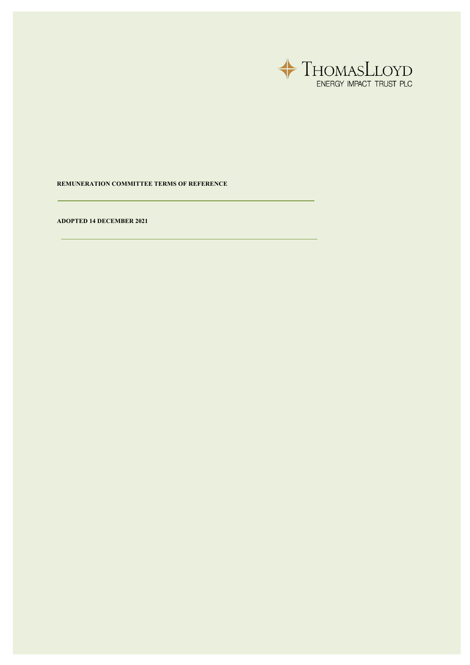

## **REMUNERATION COMMITTEE TERMS OF REFERENCE**

**ADOPTED 14 DECEMBER 2021**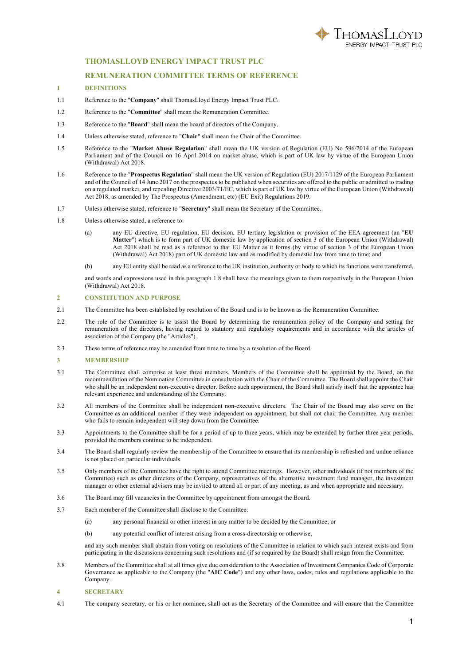

# **THOMASLLOYD ENERGY IMPACT TRUST PLC**

### **REMUNERATION COMMITTEE TERMS OF REFERENCE**

#### **1 DEFINITIONS**

- 1.1 Reference to the "**Company**" shall ThomasLloyd Energy Impact Trust PLC.
- 1.2 Reference to the "**Committee**" shall mean the Remuneration Committee.
- 1.3 Reference to the "**Board**" shall mean the board of directors of the Company.
- 1.4 Unless otherwise stated, reference to "**Chair**" shall mean the Chair of the Committee.
- 1.5 Reference to the "**Market Abuse Regulation**" shall mean the UK version of Regulation (EU) No 596/2014 of the European Parliament and of the Council on 16 April 2014 on market abuse, which is part of UK law by virtue of the European Union (Withdrawal) Act 2018.
- 1.6 Reference to the "**Prospectus Regulation**" shall mean the UK version of Regulation (EU) 2017/1129 of the European Parliament and of the Council of 14 June 2017 on the prospectus to be published when securities are offered to the public or admitted to trading on a regulated market, and repealing Directive 2003/71/EC, which is part of UK law by virtue of the European Union (Withdrawal) Act 2018, as amended by The Prospectus (Amendment, etc) (EU Exit) Regulations 2019.
- 1.7 Unless otherwise stated, reference to "**Secretary**" shall mean the Secretary of the Committee.
- 1.8 Unless otherwise stated, a reference to:
	- (a) any EU directive, EU regulation, EU decision, EU tertiary legislation or provision of the EEA agreement (an "**EU Matter**") which is to form part of UK domestic law by application of section 3 of the European Union (Withdrawal) Act 2018 shall be read as a reference to that EU Matter as it forms (by virtue of section 3 of the European Union (Withdrawal) Act 2018) part of UK domestic law and as modified by domestic law from time to time; and
	- (b) any EU entity shall be read as a reference to the UK institution, authority or body to which its functions were transferred,

and words and expressions used in this paragraph 1.8 shall have the meanings given to them respectively in the European Union (Withdrawal) Act 2018.

### **2 CONSTITUTION AND PURPOSE**

- 2.1 The Committee has been established by resolution of the Board and is to be known as the Remuneration Committee.
- 2.2 The role of the Committee is to assist the Board by determining the remuneration policy of the Company and setting the remuneration of the directors, having regard to statutory and regulatory requirements and in accordance with the articles of association of the Company (the "Articles").
- 2.3 These terms of reference may be amended from time to time by a resolution of the Board.

### **3 MEMBERSHIP**

- 3.1 The Committee shall comprise at least three members. Members of the Committee shall be appointed by the Board, on the recommendation of the Nomination Committee in consultation with the Chair of the Committee. The Board shall appoint the Chair who shall be an independent non-executive director. Before such appointment, the Board shall satisfy itself that the appointee has relevant experience and understanding of the Company.
- 3.2 All members of the Committee shall be independent non-executive directors. The Chair of the Board may also serve on the Committee as an additional member if they were independent on appointment, but shall not chair the Committee. Any member who fails to remain independent will step down from the Committee.
- 3.3 Appointments to the Committee shall be for a period of up to three years, which may be extended by further three year periods, provided the members continue to be independent.
- 3.4 The Board shall regularly review the membership of the Committee to ensure that its membership is refreshed and undue reliance is not placed on particular individuals
- 3.5 Only members of the Committee have the right to attend Committee meetings. However, other individuals (if not members of the Committee) such as other directors of the Company, representatives of the alternative investment fund manager, the investment manager or other external advisers may be invited to attend all or part of any meeting, as and when appropriate and necessary.
- 3.6 The Board may fill vacancies in the Committee by appointment from amongst the Board.
- 3.7 Each member of the Committee shall disclose to the Committee:
	- (a) any personal financial or other interest in any matter to be decided by the Committee; or
	- (b) any potential conflict of interest arising from a cross-directorship or otherwise,

and any such member shall abstain from voting on resolutions of the Committee in relation to which such interest exists and from participating in the discussions concerning such resolutions and (if so required by the Board) shall resign from the Committee.

3.8 Members of the Committee shall at all times give due consideration to the Association of Investment Companies Code of Corporate Governance as applicable to the Company (the "**AIC Code**") and any other laws, codes, rules and regulations applicable to the Company.

#### **4 SECRETARY**

4.1 The company secretary, or his or her nominee, shall act as the Secretary of the Committee and will ensure that the Committee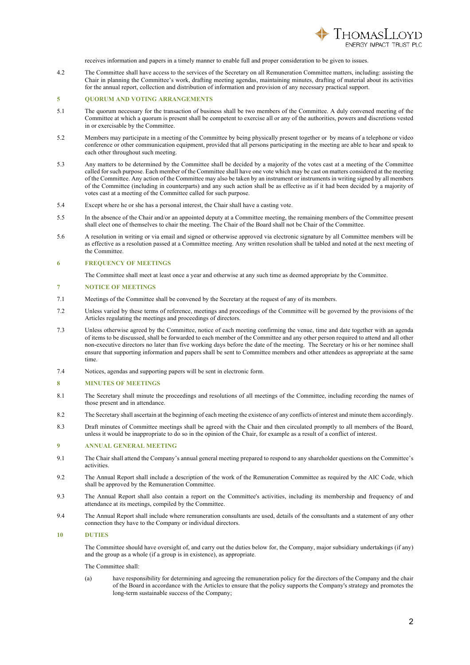

receives information and papers in a timely manner to enable full and proper consideration to be given to issues.

4.2 The Committee shall have access to the services of the Secretary on all Remuneration Committee matters, including: assisting the Chair in planning the Committee's work, drafting meeting agendas, maintaining minutes, drafting of material about its activities for the annual report, collection and distribution of information and provision of any necessary practical support.

## **5 QUORUM AND VOTING ARRANGEMENTS**

- 5.1 The quorum necessary for the transaction of business shall be two members of the Committee. A duly convened meeting of the Committee at which a quorum is present shall be competent to exercise all or any of the authorities, powers and discretions vested in or exercisable by the Committee.
- 5.2 Members may participate in a meeting of the Committee by being physically present together or by means of a telephone or video conference or other communication equipment, provided that all persons participating in the meeting are able to hear and speak to each other throughout such meeting.
- 5.3 Any matters to be determined by the Committee shall be decided by a majority of the votes cast at a meeting of the Committee called for such purpose. Each member of the Committee shall have one vote which may be cast on matters considered at the meeting of the Committee. Any action of the Committee may also be taken by an instrument or instruments in writing signed by all members of the Committee (including in counterparts) and any such action shall be as effective as if it had been decided by a majority of votes cast at a meeting of the Committee called for such purpose.
- 5.4 Except where he or she has a personal interest, the Chair shall have a casting vote.
- 5.5 In the absence of the Chair and/or an appointed deputy at a Committee meeting, the remaining members of the Committee present shall elect one of themselves to chair the meeting. The Chair of the Board shall not be Chair of the Committee.
- 5.6 A resolution in writing or via email and signed or otherwise approved via electronic signature by all Committee members will be as effective as a resolution passed at a Committee meeting. Any written resolution shall be tabled and noted at the next meeting of the Committee.
- **6 FREQUENCY OF MEETINGS**
- The Committee shall meet at least once a year and otherwise at any such time as deemed appropriate by the Committee.

#### **7 NOTICE OF MEETINGS**

- 7.1 Meetings of the Committee shall be convened by the Secretary at the request of any of its members.
- 7.2 Unless varied by these terms of reference, meetings and proceedings of the Committee will be governed by the provisions of the Articles regulating the meetings and proceedings of directors.
- 7.3 Unless otherwise agreed by the Committee, notice of each meeting confirming the venue, time and date together with an agenda of items to be discussed, shall be forwarded to each member of the Committee and any other person required to attend and all other non-executive directors no later than five working days before the date of the meeting. The Secretary or his or her nominee shall ensure that supporting information and papers shall be sent to Committee members and other attendees as appropriate at the same time.
- 7.4 Notices, agendas and supporting papers will be sent in electronic form.

#### **8 MINUTES OF MEETINGS**

- 8.1 The Secretary shall minute the proceedings and resolutions of all meetings of the Committee, including recording the names of those present and in attendance.
- 8.2 The Secretary shall ascertain at the beginning of each meeting the existence of any conflicts of interest and minute them accordingly.
- 8.3 Draft minutes of Committee meetings shall be agreed with the Chair and then circulated promptly to all members of the Board, unless it would be inappropriate to do so in the opinion of the Chair, for example as a result of a conflict of interest.

#### **9 ANNUAL GENERAL MEETING**

- 9.1 The Chair shall attend the Company's annual general meeting prepared to respond to any shareholder questions on the Committee's activities.
- 9.2 The Annual Report shall include a description of the work of the Remuneration Committee as required by the AIC Code, which shall be approved by the Remuneration Committee.
- 9.3 The Annual Report shall also contain a report on the Committee's activities, including its membership and frequency of and attendance at its meetings, compiled by the Committee.
- 9.4 The Annual Report shall include where remuneration consultants are used, details of the consultants and a statement of any other connection they have to the Company or individual directors.

### **10 DUTIES**

The Committee should have oversight of, and carry out the duties below for, the Company, major subsidiary undertakings (if any) and the group as a whole (if a group is in existence), as appropriate.

The Committee shall:

(a) have responsibility for determining and agreeing the remuneration policy for the directors of the Company and the chair of the Board in accordance with the Articles to ensure that the policy supports the Company's strategy and promotes the long-term sustainable success of the Company;